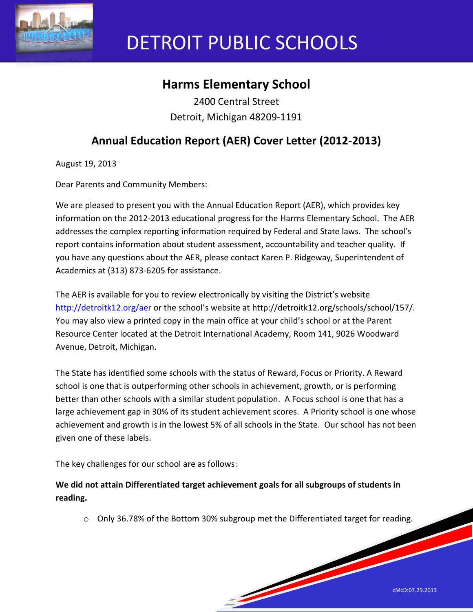

# DETROIT PUBLIC SCHOOLS

# **Harms Elementary School**

2400 Central Street Detroit, Michigan 48209-1191

# **Annual Education Report (AER) Cover Letter (2012-2013)**

August 19, 2013

Dear Parents and Community Members:

We are pleased to present you with the Annual Education Report (AER), which provides key information on the 2012-2013 educational progress for the Harms Elementary School. The AER addresses the complex reporting information required by Federal and State laws. The school's report contains information about student assessment, accountability and teacher quality. If you have any questions about the AER, please contact Karen P. Ridgeway, Superintendent of Academics at (313) 873-6205 for assistance.

The AER is available for you to review electronically by visiting the District's website http://detroitk12.org/aer or the school's website at http://detroitk12.org/schools/school/157/. You may also view a printed copy in the main office at your child's school or at the Parent Resource Center located at the Detroit International Academy, Room 141, 9026 Woodward Avenue, Detroit, Michigan.

The State has identified some schools with the status of Reward, Focus or Priority. A Reward school is one that is outperforming other schools in achievement, growth, or is performing better than other schools with a similar student population. A Focus school is one that has a large achievement gap in 30% of its student achievement scores. A Priority school is one whose achievement and growth is in the lowest 5% of all schools in the State. Our school has not been given one of these labels.

The key challenges for our school are as follows:

**We did not attain Differentiated target achievement goals for all subgroups of students in reading.**

o Only 36.78% of the Bottom 30% subgroup met the Differentiated target for reading.

<u>Serving and the service of the service of the service of the service of the service of the service of the service of the service of the service of the service of the service of the service of the service of the service of</u>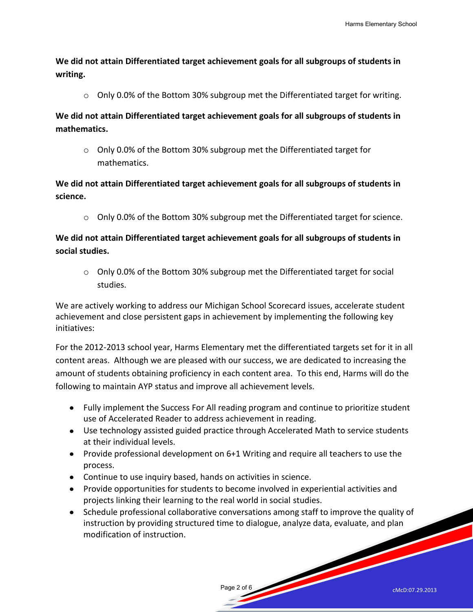**We did not attain Differentiated target achievement goals for all subgroups of students in writing.** 

 $\circ$  Only 0.0% of the Bottom 30% subgroup met the Differentiated target for writing.

**We did not attain Differentiated target achievement goals for all subgroups of students in mathematics.** 

o Only 0.0% of the Bottom 30% subgroup met the Differentiated target for mathematics.

# **We did not attain Differentiated target achievement goals for all subgroups of students in science.**

 $\circ$  Only 0.0% of the Bottom 30% subgroup met the Differentiated target for science.

# **We did not attain Differentiated target achievement goals for all subgroups of students in social studies.**

o Only 0.0% of the Bottom 30% subgroup met the Differentiated target for social studies.

We are actively working to address our Michigan School Scorecard issues, accelerate student achievement and close persistent gaps in achievement by implementing the following key initiatives:

For the 2012-2013 school year, Harms Elementary met the differentiated targets set for it in all content areas. Although we are pleased with our success, we are dedicated to increasing the amount of students obtaining proficiency in each content area. To this end, Harms will do the following to maintain AYP status and improve all achievement levels.

- Fully implement the Success For All reading program and continue to prioritize student use of Accelerated Reader to address achievement in reading.
- Use technology assisted guided practice through Accelerated Math to service students at their individual levels.
- Provide professional development on 6+1 Writing and require all teachers to use the process.
- Continue to use inquiry based, hands on activities in science.
- Provide opportunities for students to become involved in experiential activities and projects linking their learning to the real world in social studies.
- Schedule professional collaborative conversations among staff to improve the quality of instruction by providing structured time to dialogue, analyze data, evaluate, and plan modification of instruction.

Page 2 of 6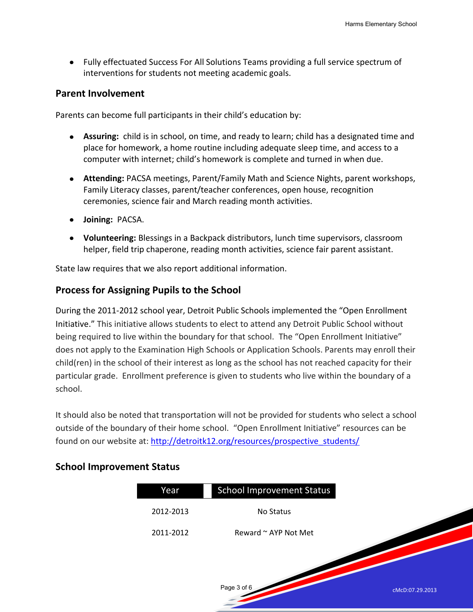Fully effectuated Success For All Solutions Teams providing a full service spectrum of interventions for students not meeting academic goals.

#### **Parent Involvement**

Parents can become full participants in their child's education by:

- **Assuring:** child is in school, on time, and ready to learn; child has a designated time and place for homework, a home routine including adequate sleep time, and access to a computer with internet; child's homework is complete and turned in when due.
- **Attending:** PACSA meetings, Parent/Family Math and Science Nights, parent workshops, Family Literacy classes, parent/teacher conferences, open house, recognition ceremonies, science fair and March reading month activities.
- **Joining:** PACSA.
- **Volunteering:** Blessings in a Backpack distributors, lunch time supervisors, classroom helper, field trip chaperone, reading month activities, science fair parent assistant.

State law requires that we also report additional information.

### **Process for Assigning Pupils to the School**

During the 2011-2012 school year, Detroit Public Schools implemented the "Open Enrollment Initiative." This initiative allows students to elect to attend any Detroit Public School without being required to live within the boundary for that school. The "Open Enrollment Initiative" does not apply to the Examination High Schools or Application Schools. Parents may enroll their child(ren) in the school of their interest as long as the school has not reached capacity for their particular grade. Enrollment preference is given to students who live within the boundary of a school.

It should also be noted that transportation will not be provided for students who select a school outside of the boundary of their home school. "Open Enrollment Initiative" resources can be found on our website at: [http://detroitk12.org/resources/prospective\\_students/](http://detroitk12.org/resources/prospective_students/)

### **School Improvement Status**

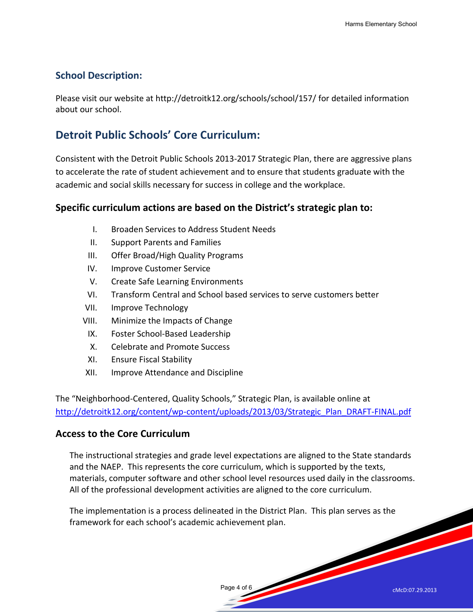# **School Description:**

Please visit our website at http://detroitk12.org/schools/school/157/ for detailed information about our school.

# **Detroit Public Schools' Core Curriculum:**

Consistent with the Detroit Public Schools 2013-2017 Strategic Plan, there are aggressive plans to accelerate the rate of student achievement and to ensure that students graduate with the academic and social skills necessary for success in college and the workplace.

# **Specific curriculum actions are based on the District's strategic plan to:**

- I. Broaden Services to Address Student Needs
- II. Support Parents and Families
- III. Offer Broad/High Quality Programs
- IV. Improve Customer Service
- V. Create Safe Learning Environments
- VI. Transform Central and School based services to serve customers better
- VII. Improve Technology
- VIII. Minimize the Impacts of Change
	- IX. Foster School-Based Leadership
	- X. Celebrate and Promote Success
- XI. Ensure Fiscal Stability
- XII. Improve Attendance and Discipline

The "Neighborhood-Centered, Quality Schools," Strategic Plan, is available online at [http://detroitk12.org/content/wp-content/uploads/2013/03/Strategic\\_Plan\\_DRAFT-FINAL.pdf](http://detroitk12.org/content/wp-content/uploads/2013/03/Strategic_Plan_DRAFT-FINAL.pdf)

### **Access to the Core Curriculum**

The instructional strategies and grade level expectations are aligned to the State standards and the NAEP. This represents the core curriculum, which is supported by the texts, materials, computer software and other school level resources used daily in the classrooms. All of the professional development activities are aligned to the core curriculum.

Page 4 of 6

The implementation is a process delineated in the District Plan. This plan serves as the framework for each school's academic achievement plan.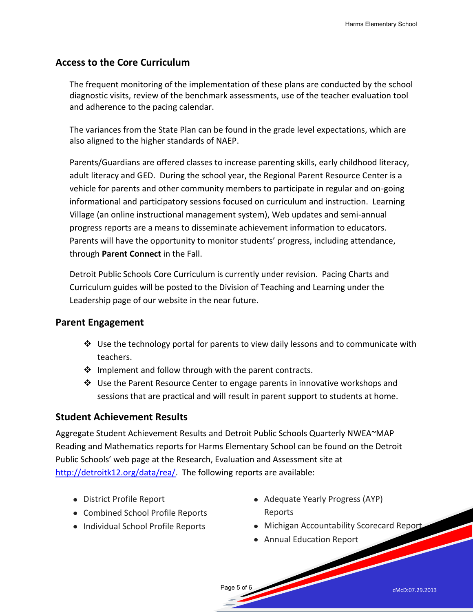## **Access to the Core Curriculum**

The frequent monitoring of the implementation of these plans are conducted by the school diagnostic visits, review of the benchmark assessments, use of the teacher evaluation tool and adherence to the pacing calendar.

The variances from the State Plan can be found in the grade level expectations, which are also aligned to the higher standards of NAEP.

Parents/Guardians are offered classes to increase parenting skills, early childhood literacy, adult literacy and GED. During the school year, the Regional Parent Resource Center is a vehicle for parents and other community members to participate in regular and on-going informational and participatory sessions focused on curriculum and instruction. Learning Village (an online instructional management system), Web updates and semi-annual progress reports are a means to disseminate achievement information to educators. Parents will have the opportunity to monitor students' progress, including attendance, through **Parent Connect** in the Fall.

Detroit Public Schools Core Curriculum is currently under revision. Pacing Charts and Curriculum guides will be posted to the Division of Teaching and Learning under the Leadership page of our website in the near future.

### **Parent Engagement**

- $\clubsuit$  Use the technology portal for parents to view daily lessons and to communicate with teachers.
- $\cdot$  Implement and follow through with the parent contracts.
- $\div$  Use the Parent Resource Center to engage parents in innovative workshops and sessions that are practical and will result in parent support to students at home.

### **Student Achievement Results**

Aggregate Student Achievement Results and Detroit Public Schools Quarterly NWEA~MAP Reading and Mathematics reports for Harms Elementary School can be found on the Detroit Public Schools' web page at the Research, Evaluation and Assessment site at [http://detroitk12.org/data/rea/.](http://detroitk12.org/data/rea/) The following reports are available:

- District Profile Report
- Combined School Profile Reports
- Individual School Profile Reports
- Adequate Yearly Progress (AYP) Reports
- Michigan Accountability Scorecard Report
- Annual Education Report